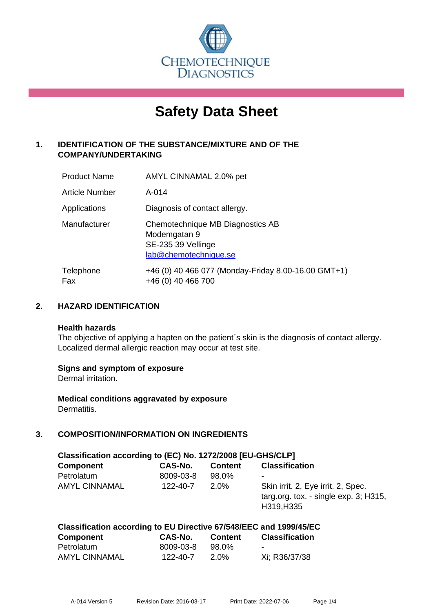

# **Safety Data Sheet**

# **1. IDENTIFICATION OF THE SUBSTANCE/MIXTURE AND OF THE COMPANY/UNDERTAKING**

| <b>Product Name</b>   | AMYL CINNAMAL 2.0% pet                                                                          |
|-----------------------|-------------------------------------------------------------------------------------------------|
| <b>Article Number</b> | $A - 014$                                                                                       |
| Applications          | Diagnosis of contact allergy.                                                                   |
| Manufacturer          | Chemotechnique MB Diagnostics AB<br>Modemgatan 9<br>SE-235 39 Vellinge<br>lab@chemotechnique.se |
| Telephone<br>Fax      | +46 (0) 40 466 077 (Monday-Friday 8.00-16.00 GMT+1)<br>+46 (0) 40 466 700                       |

# **2. HAZARD IDENTIFICATION**

#### **Health hazards**

The objective of applying a hapten on the patient's skin is the diagnosis of contact allergy. Localized dermal allergic reaction may occur at test site.

#### **Signs and symptom of exposure**

Dermal irritation.

**Medical conditions aggravated by exposure** Dermatitis.

# **3. COMPOSITION/INFORMATION ON INGREDIENTS**

| Classification according to (EC) No. 1272/2008 [EU-GHS/CLP] |           |                |                                                                                              |  |  |
|-------------------------------------------------------------|-----------|----------------|----------------------------------------------------------------------------------------------|--|--|
| <b>Component</b>                                            | CAS-No.   | <b>Content</b> | <b>Classification</b>                                                                        |  |  |
| Petrolatum                                                  | 8009-03-8 | 98.0%          | ٠                                                                                            |  |  |
| <b>AMYL CINNAMAL</b>                                        | 122-40-7  | $2.0\%$        | Skin irrit. 2, Eye irrit. 2, Spec.<br>targ.org. tox. - single $exp. 3$ ; H315,<br>H319, H335 |  |  |

# **Classification according to EU Directive 67/548/EEC and 1999/45/EC**

| <b>Component</b> | CAS-No.   | <b>Content</b> | <b>Classification</b> |
|------------------|-----------|----------------|-----------------------|
| Petrolatum       | 8009-03-8 | 98.0%          | -                     |
| AMYL CINNAMAL    | 122-40-7  | 2.0%           | Xi; R36/37/38         |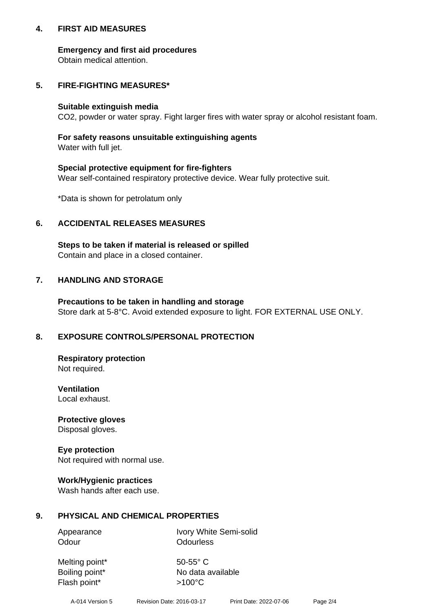#### **4. FIRST AID MEASURES**

#### **Emergency and first aid procedures**

Obtain medical attention.

# **5. FIRE-FIGHTING MEASURES\***

#### **Suitable extinguish media**

CO2, powder or water spray. Fight larger fires with water spray or alcohol resistant foam.

# **For safety reasons unsuitable extinguishing agents**

Water with full jet.

#### **Special protective equipment for fire-fighters**

Wear self-contained respiratory protective device. Wear fully protective suit.

\*Data is shown for petrolatum only

# **6. ACCIDENTAL RELEASES MEASURES**

**Steps to be taken if material is released or spilled** Contain and place in a closed container.

# **7. HANDLING AND STORAGE**

**Precautions to be taken in handling and storage** Store dark at 5-8°C. Avoid extended exposure to light. FOR EXTERNAL USE ONLY.

# **8. EXPOSURE CONTROLS/PERSONAL PROTECTION**

**Respiratory protection** Not required.

**Ventilation** Local exhaust.

**Protective gloves** Disposal gloves.

#### **Eye protection** Not required with normal use.

#### **Work/Hygienic practices**

Wash hands after each use.

#### **9. PHYSICAL AND CHEMICAL PROPERTIES**

Odour **Odourless** 

Appearance Ivory White Semi-solid

Melting point\* 50-55° C Flash point\* >100°C

Boiling point\* No data available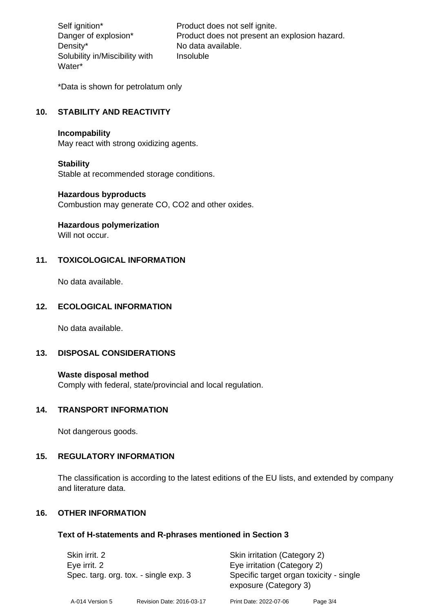Density\* No data available. Solubility in/Miscibility with Water\*

Self ignition\* Product does not self ignite. Danger of explosion\* Product does not present an explosion hazard. Insoluble

\*Data is shown for petrolatum only

# **10. STABILITY AND REACTIVITY**

#### **Incompability**

May react with strong oxidizing agents.

#### **Stability**

Stable at recommended storage conditions.

#### **Hazardous byproducts**

Combustion may generate CO, CO2 and other oxides.

**Hazardous polymerization**

Will not occur.

# **11. TOXICOLOGICAL INFORMATION**

No data available.

# **12. ECOLOGICAL INFORMATION**

No data available.

#### **13. DISPOSAL CONSIDERATIONS**

#### **Waste disposal method**

Comply with federal, state/provincial and local regulation.

#### **14. TRANSPORT INFORMATION**

Not dangerous goods.

#### **15. REGULATORY INFORMATION**

The classification is according to the latest editions of the EU lists, and extended by company and literature data.

#### **16. OTHER INFORMATION**

#### **Text of H-statements and R-phrases mentioned in Section 3**

| Skin irrit. 2<br>Eye irrit. 2<br>Spec. targ. org. tox. - single exp. 3 |                           | Skin irritation (Category 2)<br>Eye irritation (Category 2)<br>Specific target organ toxicity - single<br>exposure (Category 3) |          |
|------------------------------------------------------------------------|---------------------------|---------------------------------------------------------------------------------------------------------------------------------|----------|
| A-014 Version 5                                                        | Revision Date: 2016-03-17 | Print Date: 2022-07-06                                                                                                          | Page 3/4 |